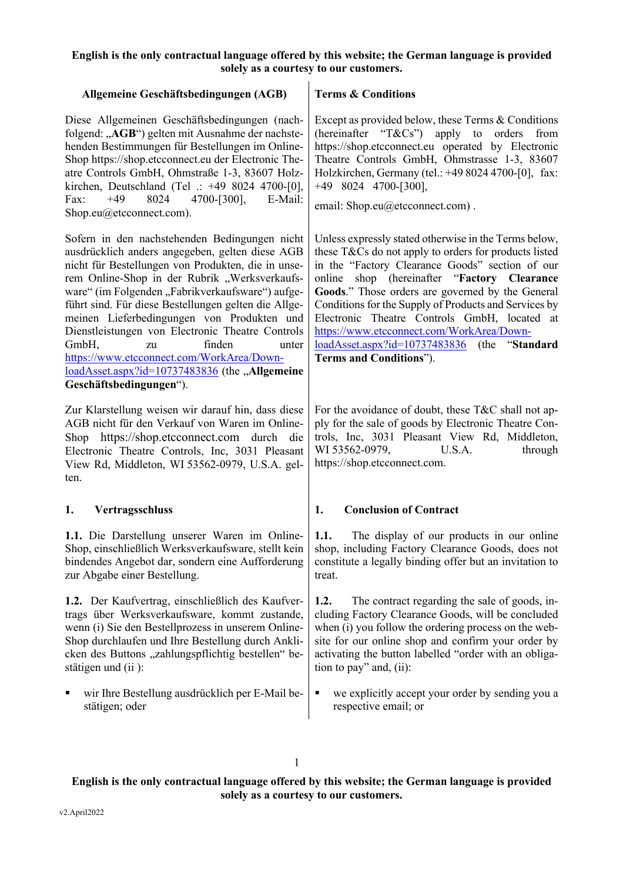| Allgemeine Geschäftsbedingungen (AGB)                                                                                                                                                                                                                                                                                                                                                                                                                                                                                                                                             | <b>Terms &amp; Conditions</b>                                                                                                                                                                                                                                                                                                                                                                                                                                                                            |
|-----------------------------------------------------------------------------------------------------------------------------------------------------------------------------------------------------------------------------------------------------------------------------------------------------------------------------------------------------------------------------------------------------------------------------------------------------------------------------------------------------------------------------------------------------------------------------------|----------------------------------------------------------------------------------------------------------------------------------------------------------------------------------------------------------------------------------------------------------------------------------------------------------------------------------------------------------------------------------------------------------------------------------------------------------------------------------------------------------|
| Diese Allgemeinen Geschäftsbedingungen (nach-<br>folgend: "AGB") gelten mit Ausnahme der nachste-<br>henden Bestimmungen für Bestellungen im Online-<br>Shop https://shop.etcconnect.eu der Electronic The-<br>atre Controls GmbH, Ohmstraße 1-3, 83607 Holz-<br>kirchen, Deutschland (Tel .: +49 8024 4700-[0],<br>4700-[300],<br>$+49$<br>8024<br>E-Mail:<br>Fax:<br>Shop.eu@etcconnect.com).                                                                                                                                                                                   | Except as provided below, these Terms $&$ Conditions<br>(hereinafter " $T\&Cs$ ") apply to<br>orders<br>from<br>https://shop.etcconnect.eu operated by Electronic<br>Theatre Controls GmbH, Ohmstrasse 1-3, 83607<br>Holzkirchen, Germany (tel.: +49 8024 4700-[0], fax:<br>$+49$ 8024 4700-[300],<br>email: Shop.eu@etcconnect.com).                                                                                                                                                                    |
| Sofern in den nachstehenden Bedingungen nicht<br>ausdrücklich anders angegeben, gelten diese AGB<br>nicht für Bestellungen von Produkten, die in unse-<br>rem Online-Shop in der Rubrik "Werksverkaufs-<br>ware" (im Folgenden "Fabrikverkaufsware") aufge-<br>führt sind. Für diese Bestellungen gelten die Allge-<br>meinen Lieferbedingungen von Produkten und<br>Dienstleistungen von Electronic Theatre Controls<br>GmbH,<br>finden<br>zu<br>unter<br>https://www.etcconnect.com/WorkArea/Down-<br>loadAsset.aspx?id=10737483836 (the "Allgemeine<br>Geschäftsbedingungen"). | Unless expressly stated otherwise in the Terms below,<br>these T&Cs do not apply to orders for products listed<br>in the "Factory Clearance Goods" section of our<br>shop (hereinafter "Factory Clearance<br>online<br>Goods." Those orders are governed by the General<br>Conditions for the Supply of Products and Services by<br>Electronic Theatre Controls GmbH, located at<br>https://www.etcconnect.com/WorkArea/Down-<br>loadAsset.aspx?id=10737483836 (the "Standard<br>Terms and Conditions"). |
| Zur Klarstellung weisen wir darauf hin, dass diese<br>AGB nicht für den Verkauf von Waren im Online-<br>https://shop.etcconnect.com durch die<br>Shop<br>Electronic Theatre Controls, Inc, 3031 Pleasant<br>View Rd, Middleton, WI 53562-0979, U.S.A. gel-<br>ten.                                                                                                                                                                                                                                                                                                                | For the avoidance of doubt, these T&C shall not ap-<br>ply for the sale of goods by Electronic Theatre Con-<br>trols, Inc, 3031 Pleasant View Rd, Middleton,<br>WI 53562-0979,<br>U.S.A.<br>through<br>https://shop.etcconnect.com.                                                                                                                                                                                                                                                                      |
| 1.<br>Vertragsschluss                                                                                                                                                                                                                                                                                                                                                                                                                                                                                                                                                             | <b>Conclusion of Contract</b><br>1.                                                                                                                                                                                                                                                                                                                                                                                                                                                                      |
| 1.1. Die Darstellung unserer Waren im Online-<br>Shop, einschließlich Werksverkaufsware, stellt kein<br>bindendes Angebot dar, sondern eine Aufforderung<br>zur Abgabe einer Bestellung.                                                                                                                                                                                                                                                                                                                                                                                          | The display of our products in our online<br>1.1.<br>shop, including Factory Clearance Goods, does not<br>constitute a legally binding offer but an invitation to<br>treat.                                                                                                                                                                                                                                                                                                                              |
| 1.2. Der Kaufvertrag, einschließlich des Kaufver-<br>trags über Werksverkaufsware, kommt zustande,<br>wenn (i) Sie den Bestellprozess in unserem Online-<br>Shop durchlaufen und Ihre Bestellung durch Ankli-<br>cken des Buttons "zahlungspflichtig bestellen" be-<br>stätigen und (ii):                                                                                                                                                                                                                                                                                         | 1.2.<br>The contract regarding the sale of goods, in-<br>cluding Factory Clearance Goods, will be concluded<br>when (i) you follow the ordering process on the web-<br>site for our online shop and confirm your order by<br>activating the button labelled "order with an obliga-<br>tion to pay" and, (ii):                                                                                                                                                                                            |
| wir Ihre Bestellung ausdrücklich per E-Mail be-<br>Ξ<br>stätigen; oder                                                                                                                                                                                                                                                                                                                                                                                                                                                                                                            | we explicitly accept your order by sending you a<br>п<br>respective email; or                                                                                                                                                                                                                                                                                                                                                                                                                            |

1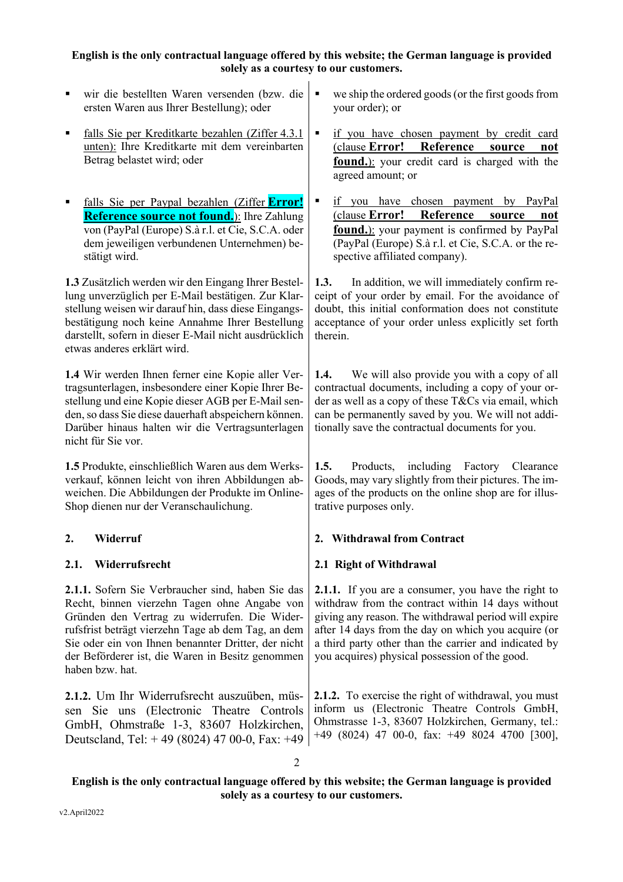- § wir die bestellten Waren versenden (bzw. die ersten Waren aus Ihrer Bestellung); oder
- § falls Sie per Kreditkarte bezahlen (Ziffer 4.3.1 unten): Ihre Kreditkarte mit dem vereinbarten Betrag belastet wird; oder
- § falls Sie per Paypal bezahlen (Ziffer **Error! Reference source not found.**): Ihre Zahlung von (PayPal (Europe) S.à r.l. et Cie, S.C.A. oder dem jeweiligen verbundenen Unternehmen) bestätigt wird.

**1.3** Zusätzlich werden wir den Eingang Ihrer Bestellung unverzüglich per E-Mail bestätigen. Zur Klarstellung weisen wir darauf hin, dass diese Eingangsbestätigung noch keine Annahme Ihrer Bestellung darstellt, sofern in dieser E-Mail nicht ausdrücklich etwas anderes erklärt wird.

**1.4** Wir werden Ihnen ferner eine Kopie aller Vertragsunterlagen, insbesondere einer Kopie Ihrer Bestellung und eine Kopie dieser AGB per E-Mail senden, so dass Sie diese dauerhaft abspeichern können. Darüber hinaus halten wir die Vertragsunterlagen nicht für Sie vor.

**1.5** Produkte, einschließlich Waren aus dem Werksverkauf, können leicht von ihren Abbildungen abweichen. Die Abbildungen der Produkte im Online-Shop dienen nur der Veranschaulichung.

**2.1.1.** Sofern Sie Verbraucher sind, haben Sie das Recht, binnen vierzehn Tagen ohne Angabe von Gründen den Vertrag zu widerrufen. Die Widerrufsfrist beträgt vierzehn Tage ab dem Tag, an dem Sie oder ein von Ihnen benannter Dritter, der nicht der Beförderer ist, die Waren in Besitz genommen haben bzw. hat.

**2.1.2.** Um Ihr Widerrufsrecht auszuüben, müssen Sie uns (Electronic Theatre Controls GmbH, Ohmstraße 1-3, 83607 Holzkirchen, Deutscland, Tel: + 49 (8024) 47 00-0, Fax: +49

- we ship the ordered goods (or the first goods from your order); or
- § if you have chosen payment by credit card (clause **Error! Reference source not found.**): your credit card is charged with the agreed amount; or
- **•** if you have chosen payment by PayPal (clause **Error! Reference source not found.**): your payment is confirmed by PayPal (PayPal (Europe) S.à r.l. et Cie, S.C.A. or the respective affiliated company).

**1.3.** In addition, we will immediately confirm receipt of your order by email. For the avoidance of doubt, this initial conformation does not constitute acceptance of your order unless explicitly set forth therein.

**1.4.** We will also provide you with a copy of all contractual documents, including a copy of your order as well as a copy of these T&Cs via email, which can be permanently saved by you. We will not additionally save the contractual documents for you.

**1.5.** Products, including Factory Clearance Goods, may vary slightly from their pictures. The images of the products on the online shop are for illustrative purposes only.

# **2. Widerruf 2. Withdrawal from Contract**

# **2.1. Widerrufsrecht 2.1 Right of Withdrawal**

**2.1.1.** If you are a consumer, you have the right to withdraw from the contract within 14 days without giving any reason. The withdrawal period will expire after 14 days from the day on which you acquire (or a third party other than the carrier and indicated by you acquires) physical possession of the good.

**2.1.2.** To exercise the right of withdrawal, you must inform us (Electronic Theatre Controls GmbH, Ohmstrasse 1-3, 83607 Holzkirchen, Germany, tel.: +49 (8024) 47 00-0, fax: +49 8024 4700 [300],

2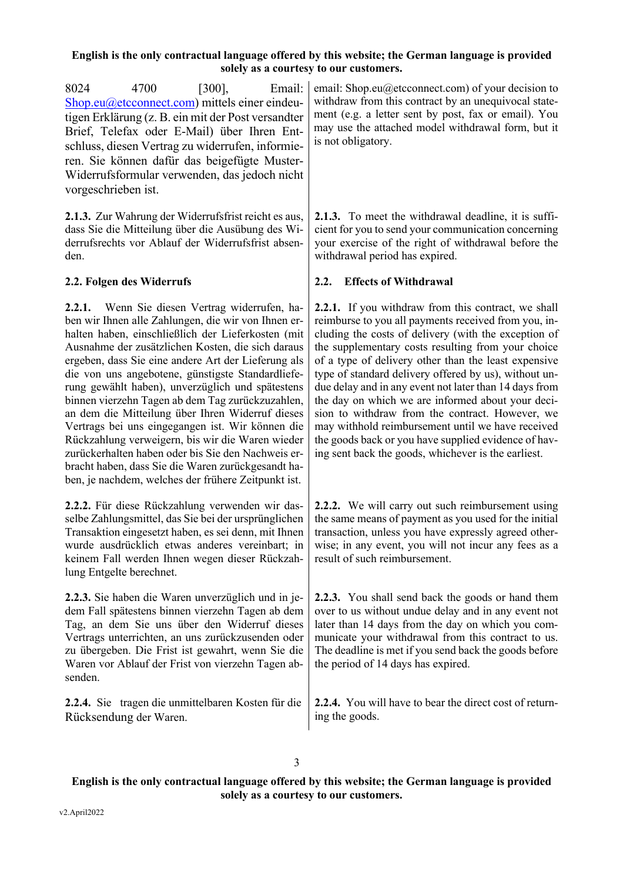8024 4700 [300], Email: Shop.eu@etcconnect.com) mittels einer eindeutigen Erklärung (z. B. ein mit der Post versandter Brief, Telefax oder E-Mail) über Ihren Entschluss, diesen Vertrag zu widerrufen, informieren. Sie können dafür das beigefügte Muster-Widerrufsformular verwenden, das jedoch nicht vorgeschrieben ist.

**2.1.3.** Zur Wahrung der Widerrufsfrist reicht es aus, dass Sie die Mitteilung über die Ausübung des Widerrufsrechts vor Ablauf der Widerrufsfrist absenden.

**2.2.1.** Wenn Sie diesen Vertrag widerrufen, haben wir Ihnen alle Zahlungen, die wir von Ihnen erhalten haben, einschließlich der Lieferkosten (mit Ausnahme der zusätzlichen Kosten, die sich daraus ergeben, dass Sie eine andere Art der Lieferung als die von uns angebotene, günstigste Standardlieferung gewählt haben), unverzüglich und spätestens binnen vierzehn Tagen ab dem Tag zurückzuzahlen, an dem die Mitteilung über Ihren Widerruf dieses Vertrags bei uns eingegangen ist. Wir können die Rückzahlung verweigern, bis wir die Waren wieder zurückerhalten haben oder bis Sie den Nachweis erbracht haben, dass Sie die Waren zurückgesandt haben, je nachdem, welches der frühere Zeitpunkt ist.

**2.2.2.** Für diese Rückzahlung verwenden wir dasselbe Zahlungsmittel, das Sie bei der ursprünglichen Transaktion eingesetzt haben, es sei denn, mit Ihnen wurde ausdrücklich etwas anderes vereinbart; in keinem Fall werden Ihnen wegen dieser Rückzahlung Entgelte berechnet.

**2.2.3.** Sie haben die Waren unverzüglich und in jedem Fall spätestens binnen vierzehn Tagen ab dem Tag, an dem Sie uns über den Widerruf dieses Vertrags unterrichten, an uns zurückzusenden oder zu übergeben. Die Frist ist gewahrt, wenn Sie die Waren vor Ablauf der Frist von vierzehn Tagen absenden.

**2.2.4.** Sie tragen die unmittelbaren Kosten für die Rücksendung der Waren.

email: Shop.eu@etcconnect.com) of your decision to withdraw from this contract by an unequivocal statement (e.g. a letter sent by post, fax or email). You may use the attached model withdrawal form, but it is not obligatory.

**2.1.3.** To meet the withdrawal deadline, it is sufficient for you to send your communication concerning your exercise of the right of withdrawal before the withdrawal period has expired.

### **2.2. Folgen des Widerrufs 2.2. Effects of Withdrawal**

**2.2.1.** If you withdraw from this contract, we shall reimburse to you all payments received from you, including the costs of delivery (with the exception of the supplementary costs resulting from your choice of a type of delivery other than the least expensive type of standard delivery offered by us), without undue delay and in any event not later than 14 days from the day on which we are informed about your decision to withdraw from the contract. However, we may withhold reimbursement until we have received the goods back or you have supplied evidence of having sent back the goods, whichever is the earliest.

**2.2.2.** We will carry out such reimbursement using the same means of payment as you used for the initial transaction, unless you have expressly agreed otherwise; in any event, you will not incur any fees as a result of such reimbursement.

**2.2.3.** You shall send back the goods or hand them over to us without undue delay and in any event not later than 14 days from the day on which you communicate your withdrawal from this contract to us. The deadline is met if you send back the goods before the period of 14 days has expired.

**2.2.4.** You will have to bear the direct cost of returning the goods.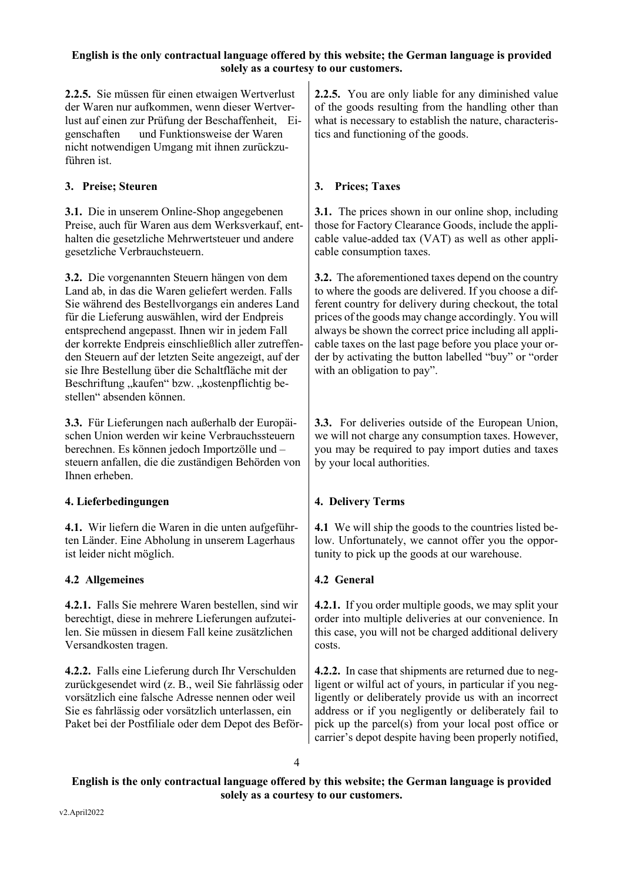**2.2.5.** Sie müssen für einen etwaigen Wertverlust der Waren nur aufkommen, wenn dieser Wertverlust auf einen zur Prüfung der Beschaffenheit, Eigenschaften und Funktionsweise der Waren nicht notwendigen Umgang mit ihnen zurückzuführen ist.

# **3. Preise; Steuren 3. Prices; Taxes**

**3.1.** Die in unserem Online-Shop angegebenen Preise, auch für Waren aus dem Werksverkauf, enthalten die gesetzliche Mehrwertsteuer und andere gesetzliche Verbrauchsteuern.

**3.2.** Die vorgenannten Steuern hängen von dem Land ab, in das die Waren geliefert werden. Falls Sie während des Bestellvorgangs ein anderes Land für die Lieferung auswählen, wird der Endpreis entsprechend angepasst. Ihnen wir in jedem Fall der korrekte Endpreis einschließlich aller zutreffenden Steuern auf der letzten Seite angezeigt, auf der sie Ihre Bestellung über die Schaltfläche mit der Beschriftung "kaufen" bzw. "kostenpflichtig bestellen" absenden können.

**3.3.** Für Lieferungen nach außerhalb der Europäischen Union werden wir keine Verbrauchssteuern berechnen. Es können jedoch Importzölle und – steuern anfallen, die die zuständigen Behörden von Ihnen erheben.

# **4. Lieferbedingungen 4. Delivery Terms**

**4.1.** Wir liefern die Waren in die unten aufgeführten Länder. Eine Abholung in unserem Lagerhaus ist leider nicht möglich.

# **4.2 Allgemeines 4.2 General**

**4.2.1.** Falls Sie mehrere Waren bestellen, sind wir berechtigt, diese in mehrere Lieferungen aufzuteilen. Sie müssen in diesem Fall keine zusätzlichen Versandkosten tragen.

**4.2.2.** Falls eine Lieferung durch Ihr Verschulden zurückgesendet wird (z. B., weil Sie fahrlässig oder vorsätzlich eine falsche Adresse nennen oder weil Sie es fahrlässig oder vorsätzlich unterlassen, ein Paket bei der Postfiliale oder dem Depot des Beför**2.2.5.** You are only liable for any diminished value of the goods resulting from the handling other than what is necessary to establish the nature, characteristics and functioning of the goods.

**3.1.** The prices shown in our online shop, including those for Factory Clearance Goods, include the applicable value-added tax (VAT) as well as other applicable consumption taxes.

**3.2.** The aforementioned taxes depend on the country to where the goods are delivered. If you choose a different country for delivery during checkout, the total prices of the goods may change accordingly. You will always be shown the correct price including all applicable taxes on the last page before you place your order by activating the button labelled "buy" or "order with an obligation to pay".

**3.3.** For deliveries outside of the European Union, we will not charge any consumption taxes. However, you may be required to pay import duties and taxes by your local authorities.

**4.1** We will ship the goods to the countries listed below. Unfortunately, we cannot offer you the opportunity to pick up the goods at our warehouse.

**4.2.1.** If you order multiple goods, we may split your order into multiple deliveries at our convenience. In this case, you will not be charged additional delivery costs.

**4.2.2.** In case that shipments are returned due to negligent or wilful act of yours, in particular if you negligently or deliberately provide us with an incorrect address or if you negligently or deliberately fail to pick up the parcel(s) from your local post office or carrier's depot despite having been properly notified,

4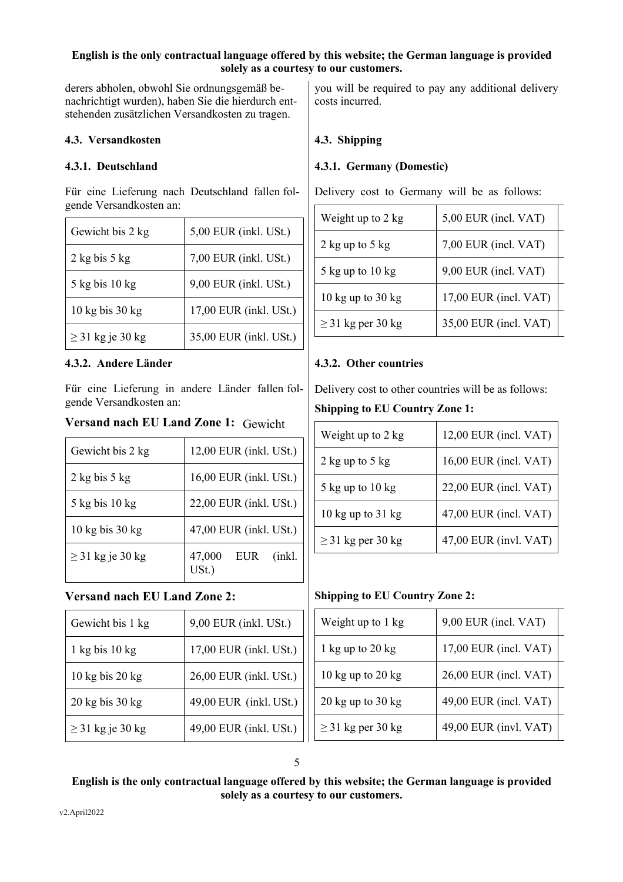derers abholen, obwohl Sie ordnungsgemäß benachrichtigt wurden), haben Sie die hierdurch entstehenden zusätzlichen Versandkosten zu tragen.

### **4.3. Versandkosten 4.3. Shipping**

Für eine Lieferung nach Deutschland fallen folgende Versandkosten an:

| Gewicht bis 2 kg                    | 5,00 EUR (inkl. USt.)  |
|-------------------------------------|------------------------|
| $2$ kg bis 5 kg                     | 7,00 EUR (inkl. USt.)  |
| $5$ kg bis 10 kg                    | 9,00 EUR (inkl. USt.)  |
| $10 \text{ kg}$ bis $30 \text{ kg}$ | 17,00 EUR (inkl. USt.) |
| $\geq$ 31 kg je 30 kg               | 35,00 EUR (inkl. USt.) |

### **4.3.2. Andere Länder 4.3.2. Other countries**

Für eine Lieferung in andere Länder fallen folgende Versandkosten an:

### **Versand nach EU Land Zone 1:** Gewicht

| Gewicht bis 2 kg                    | 12,00 EUR (inkl. USt.)         |
|-------------------------------------|--------------------------------|
| $2$ kg bis 5 kg                     | 16,00 EUR (inkl. USt.)         |
| $5$ kg bis $10$ kg                  | 22,00 EUR (inkl. USt.)         |
| $10 \text{ kg}$ bis $30 \text{ kg}$ | 47,00 EUR (inkl. USt.)         |
| $\geq$ 31 kg je 30 kg               | 47,000<br>(inkl.<br><b>EUR</b> |

# **Versand nach EU Land Zone 2:**

| Gewicht bis 1 kg                    | 9,00 EUR (inkl. USt.)  |
|-------------------------------------|------------------------|
| $1$ kg bis $10$ kg                  | 17,00 EUR (inkl. USt.) |
| $10 \text{ kg}$ bis $20 \text{ kg}$ | 26,00 EUR (inkl. USt.) |
| $20 \text{ kg}$ bis $30 \text{ kg}$ | 49,00 EUR (inkl. USt.) |
| $\geq$ 31 kg je 30 kg               | 49,00 EUR (inkl. USt.) |

you will be required to pay any additional delivery costs incurred.

### **4.3.1. Deutschland 4.3.1. Germany (Domestic)**

Delivery cost to Germany will be as follows:

| Weight up to 2 kg      | 5,00 EUR (incl. VAT)  |
|------------------------|-----------------------|
| 2 kg up to $5$ kg      | 7,00 EUR (incl. VAT)  |
| $5$ kg up to $10$ kg   | 9,00 EUR (incl. VAT)  |
| 10 kg up to $30$ kg    | 17,00 EUR (incl. VAT) |
| $\geq$ 31 kg per 30 kg | 35,00 EUR (incl. VAT) |

Delivery cost to other countries will be as follows:

### **Shipping to EU Country Zone 1:**

| Weight up to 2 kg      | 12,00 EUR (incl. VAT) |
|------------------------|-----------------------|
| $2$ kg up to $5$ kg    | 16,00 EUR (incl. VAT) |
| $5$ kg up to $10$ kg   | 22,00 EUR (incl. VAT) |
| 10 kg up to $31$ kg    | 47,00 EUR (incl. VAT) |
| $\geq$ 31 kg per 30 kg | 47,00 EUR (invl. VAT) |

# **Shipping to EU Country Zone 2:**

| Weight up to 1 kg                     | 9,00 EUR (incl. VAT)  |
|---------------------------------------|-----------------------|
| 1 kg up to $20$ kg                    | 17,00 EUR (incl. VAT) |
| 10 kg up to $20$ kg                   | 26,00 EUR (incl. VAT) |
| $20 \text{ kg}$ up to $30 \text{ kg}$ | 49,00 EUR (incl. VAT) |
| $\geq$ 31 kg per 30 kg                | 49,00 EUR (invl. VAT) |

# 5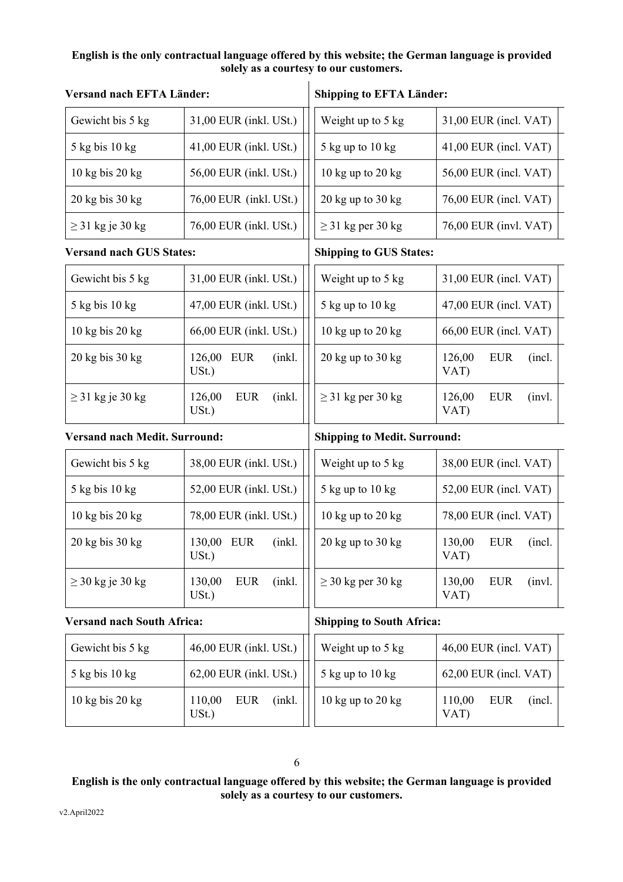| Versand nach EFTA Länder:            |                                            | <b>Shipping to EFTA Länder:</b>       |                                         |  |  |
|--------------------------------------|--------------------------------------------|---------------------------------------|-----------------------------------------|--|--|
| Gewicht bis 5 kg                     | 31,00 EUR (inkl. USt.)                     | Weight up to 5 kg                     | $31,00$ EUR (incl. VAT)                 |  |  |
| 5 kg bis 10 kg                       | 41,00 EUR (inkl. USt.)                     | 5 kg up to 10 kg                      | $41,00$ EUR (incl. VAT)                 |  |  |
| $10$ kg bis $20$ kg                  | 56,00 EUR (inkl. USt.)                     | 10 $kg$ up to 20 $kg$                 | 56,00 EUR (incl. VAT)                   |  |  |
| $20$ kg bis $30$ kg                  | 76,00 EUR (inkl. USt.)                     | $20 \text{ kg}$ up to $30 \text{ kg}$ | 76,00 EUR (incl. VAT)                   |  |  |
| $\geq$ 31 kg je 30 kg                | 76,00 EUR (inkl. USt.)                     | $\geq$ 31 kg per 30 kg                | 76,00 EUR (invl. VAT)                   |  |  |
| <b>Versand nach GUS States:</b>      |                                            | <b>Shipping to GUS States:</b>        |                                         |  |  |
| Gewicht bis 5 kg                     | 31,00 EUR (inkl. USt.)                     | Weight up to 5 kg                     | 31,00 EUR (incl. VAT)                   |  |  |
| $5$ kg bis 10 kg                     | 47,00 EUR (inkl. USt.)                     | 5 kg up to 10 kg                      | $47,00$ EUR (incl. VAT)                 |  |  |
| $10$ kg bis $20$ kg                  | 66,00 EUR (inkl. USt.)                     | 10 $kg$ up to 20 $kg$                 | $66,00$ EUR (incl. VAT)                 |  |  |
| $20$ kg bis $30$ kg                  | 126,00<br><b>EUR</b><br>$(nkl)$ .<br>USt.) | $20 \text{ kg}$ up to $30 \text{ kg}$ | 126,00<br><b>EUR</b><br>(incl.<br>VAT)  |  |  |
| $\geq$ 31 kg je 30 kg                | 126,00<br><b>EUR</b><br>(inkl.<br>USt.     | $\geq$ 31 kg per 30 kg                | 126,00<br><b>EUR</b><br>(invl.<br>VAT)  |  |  |
| <b>Versand nach Medit. Surround:</b> |                                            | <b>Shipping to Medit. Surround:</b>   |                                         |  |  |
| Gewicht bis 5 kg                     | 38,00 EUR (inkl. USt.)                     | Weight up to 5 kg                     | 38,00 EUR (incl. VAT)                   |  |  |
| 5 kg bis 10 kg                       | 52,00 EUR (inkl. USt.)                     | 5 kg up to 10 kg                      | 52,00 EUR (incl. VAT)                   |  |  |
| $10$ kg bis $20$ kg                  | 78,00 EUR (inkl. USt.)                     | 10 kg up to 20 kg                     | 78,00 EUR (incl. VAT)                   |  |  |
| $20$ kg bis $30$ kg                  | 130,00 EUR<br>(inkl.<br>USt.               | $20$ kg up to $30$ kg                 | 130,00<br><b>EUR</b><br>(incl.<br>VAT)  |  |  |
| $\geq$ 30 kg je 30 kg                | 130,00<br><b>EUR</b><br>$(nk)$ .<br>USt.   | $\geq$ 30 kg per 30 kg                | <b>EUR</b><br>130,00<br>(invl.)<br>VAT) |  |  |
| <b>Versand nach South Africa:</b>    |                                            | <b>Shipping to South Africa:</b>      |                                         |  |  |
| Gewicht bis 5 kg                     | 46,00 EUR (inkl. USt.)                     | Weight up to 5 kg                     | 46,00 EUR (incl. VAT)                   |  |  |
| 5 kg bis 10 kg                       | 62,00 EUR (inkl. USt.)                     | $5$ kg up to $10$ kg                  | 62,00 EUR (incl. VAT)                   |  |  |
| 10 kg bis 20 kg                      | 110,00<br>(inkl.<br><b>EUR</b><br>$USt.$ ) | $10$ kg up to $20$ kg                 | 110,00<br><b>EUR</b><br>(incl.<br>VAT)  |  |  |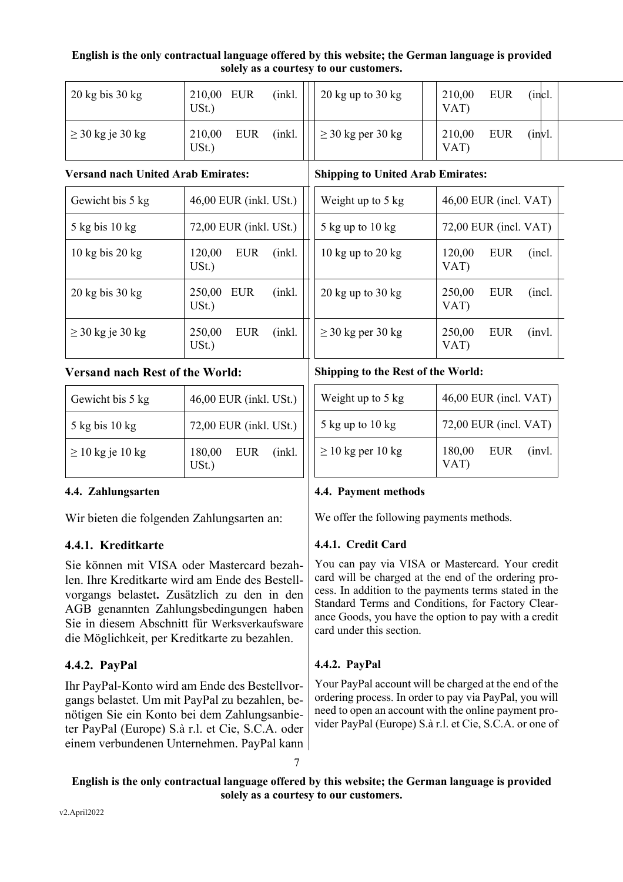| $20 \text{ kg}$ bis $30 \text{ kg}$ | 210,00 EUR<br>USt.           | (inkl. | $20 \text{ kg}$ up to $30 \text{ kg}$ | 210,00<br>VAT) | <b>EUR</b> | (incl.       |  |
|-------------------------------------|------------------------------|--------|---------------------------------------|----------------|------------|--------------|--|
| $\geq$ 30 kg je 30 kg               | <b>EUR</b><br>210,00<br>USt. | (nkl)  | $\geq$ 30 kg per 30 kg                | 210,00<br>VAT  | <b>EUR</b> | $\int$ invl. |  |

### **Versand nach United Arab Emirates:**

| Gewicht bis 5 kg                    | 46,00 EUR (inkl. USt.)                  |
|-------------------------------------|-----------------------------------------|
| $5$ kg bis 10 kg                    | 72,00 EUR (inkl. USt.)                  |
| $10 \text{ kg}$ bis $20 \text{ kg}$ | 120,00<br><b>EUR</b><br>(inkl.<br>USt.) |
| $20$ kg bis $30$ kg                 | 250,00<br>EUR<br>(inkl.<br>$USt.$ )     |
| $\geq$ 30 kg je 30 kg               | 250,00<br>(inkl.<br><b>EUR</b><br>USt.) |

# **Versand nach Rest of the World:**

| Gewicht bis 5 kg      | 46,00 EUR (inkl. USt.)     |
|-----------------------|----------------------------|
| $5$ kg bis 10 kg      | 72,00 EUR (inkl. USt.)     |
| $\geq 10$ kg je 10 kg | 180,00 EUR (inkl.<br>USt.) |

Wir bieten die folgenden Zahlungsarten an: We offer the following payments methods.

# **4.4.1. Kreditkarte**

Sie können mit VISA oder Mastercard bezahlen. Ihre Kreditkarte wird am Ende des Bestellvorgangs belastet**.** Zusätzlich zu den in den AGB genannten Zahlungsbedingungen haben Sie in diesem Abschnitt für Werksverkaufsware die Möglichkeit, per Kreditkarte zu bezahlen.

# **4.4.2. PayPal**

Ihr PayPal-Konto wird am Ende des Bestellvorgangs belastet. Um mit PayPal zu bezahlen, benötigen Sie ein Konto bei dem Zahlungsanbieter PayPal (Europe) S.à r.l. et Cie, S.C.A. oder einem verbundenen Unternehmen. PayPal kann

| Weight up to 5 kg                     | 46,00 EUR (incl. VAT)                  |
|---------------------------------------|----------------------------------------|
| 5 kg up to $10 \text{ kg}$            | $72,00$ EUR (incl. VAT)                |
| 10 kg up to $20$ kg                   | 120,00<br>EUR<br>(incl.<br>VAT)        |
| $20 \text{ kg}$ up to $30 \text{ kg}$ | 250,00<br>(incl.<br><b>EUR</b><br>VAT) |
| $\geq$ 30 kg per 30 kg                | 250,00<br>(invl.<br>EUR<br>VAT)        |

# **Shipping to the Rest of the World:**

**Shipping to United Arab Emirates:**

| Weight up to 5 kg      | 46,00 EUR (incl. VAT)        |
|------------------------|------------------------------|
| $5$ kg up to $10$ kg   | 72,00 EUR (incl. VAT)        |
| $\geq 10$ kg per 10 kg | 180,00<br>EUR (invl.<br>VAT) |

# **4.4. Zahlungsarten 4.4. Payment methods**

# **4.4.1. Credit Card**

You can pay via VISA or Mastercard. Your credit card will be charged at the end of the ordering process. In addition to the payments terms stated in the Standard Terms and Conditions, for Factory Clearance Goods, you have the option to pay with a credit card under this section.

# **4.4.2. PayPal**

Your PayPal account will be charged at the end of the ordering process. In order to pay via PayPal, you will need to open an account with the online payment provider PayPal (Europe) S.à r.l. et Cie, S.C.A. or one of

**English is the only contractual language offered by this website; the German language is provided solely as a courtesy to our customers.**

7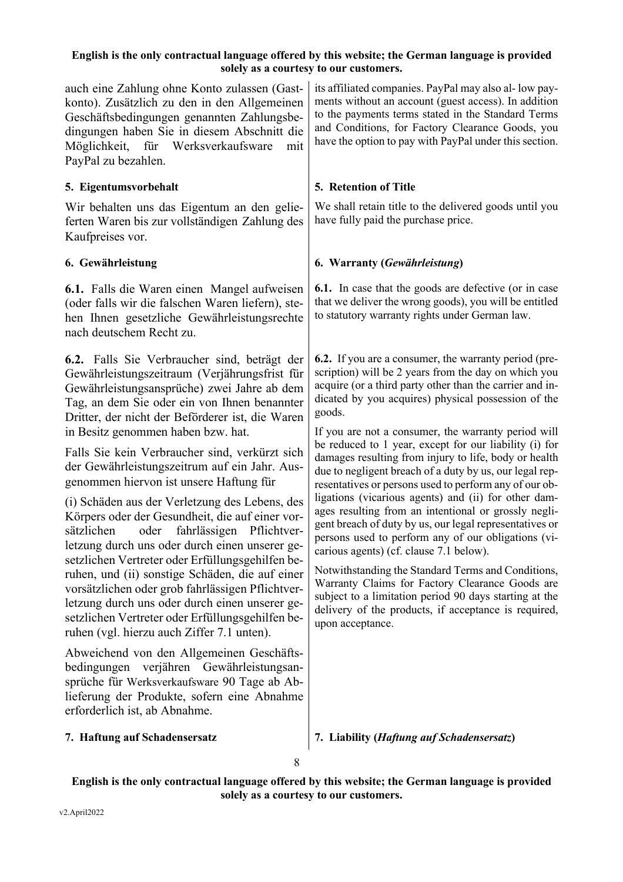auch eine Zahlung ohne Konto zulassen (Gastkonto). Zusätzlich zu den in den Allgemeinen Geschäftsbedingungen genannten Zahlungsbedingungen haben Sie in diesem Abschnitt die Möglichkeit, für Werksverkaufsware mit PayPal zu bezahlen.

# **5. Eigentumsvorbehalt**

Wir behalten uns das Eigentum an den gelieferten Waren bis zur vollständigen Zahlung des Kaufpreises vor.

**6.1.** Falls die Waren einen Mangel aufweisen (oder falls wir die falschen Waren liefern), stehen Ihnen gesetzliche Gewährleistungsrechte nach deutschem Recht zu.

**6.2.** Falls Sie Verbraucher sind, beträgt der Gewährleistungszeitraum (Verjährungsfrist für Gewährleistungsansprüche) zwei Jahre ab dem Tag, an dem Sie oder ein von Ihnen benannter Dritter, der nicht der Beförderer ist, die Waren in Besitz genommen haben bzw. hat.

Falls Sie kein Verbraucher sind, verkürzt sich der Gewährleistungszeitrum auf ein Jahr. Ausgenommen hiervon ist unsere Haftung für

(i) Schäden aus der Verletzung des Lebens, des Körpers oder der Gesundheit, die auf einer vorsätzlichen oder fahrlässigen Pflichtverletzung durch uns oder durch einen unserer gesetzlichen Vertreter oder Erfüllungsgehilfen beruhen, und (ii) sonstige Schäden, die auf einer vorsätzlichen oder grob fahrlässigen Pflichtverletzung durch uns oder durch einen unserer gesetzlichen Vertreter oder Erfüllungsgehilfen beruhen (vgl. hierzu auch Ziffer 7.1 unten).

Abweichend von den Allgemeinen Geschäftsbedingungen verjähren Gewährleistungsansprüche für Werksverkaufsware 90 Tage ab Ablieferung der Produkte, sofern eine Abnahme erforderlich ist, ab Abnahme.

its affiliated companies. PayPal may also al- low payments without an account (guest access). In addition to the payments terms stated in the Standard Terms and Conditions, for Factory Clearance Goods, you have the option to pay with PayPal under this section.

# **5. Retention of Title**

We shall retain title to the delivered goods until you have fully paid the purchase price.

# **6. Gewährleistung 6. Warranty (***Gewährleistung***)**

**6.1.** In case that the goods are defective (or in case that we deliver the wrong goods), you will be entitled to statutory warranty rights under German law.

**6.2.** If you are a consumer, the warranty period (prescription) will be 2 years from the day on which you acquire (or a third party other than the carrier and indicated by you acquires) physical possession of the goods.

If you are not a consumer, the warranty period will be reduced to 1 year, except for our liability (i) for damages resulting from injury to life, body or health due to negligent breach of a duty by us, our legal representatives or persons used to perform any of our obligations (vicarious agents) and (ii) for other damages resulting from an intentional or grossly negligent breach of duty by us, our legal representatives or persons used to perform any of our obligations (vicarious agents) (cf. clause 7.1 below).

Notwithstanding the Standard Terms and Conditions, Warranty Claims for Factory Clearance Goods are subject to a limitation period 90 days starting at the delivery of the products, if acceptance is required, upon acceptance.

**7. Haftung auf Schadensersatz 7. Liability (***Haftung auf Schadensersatz***)**

8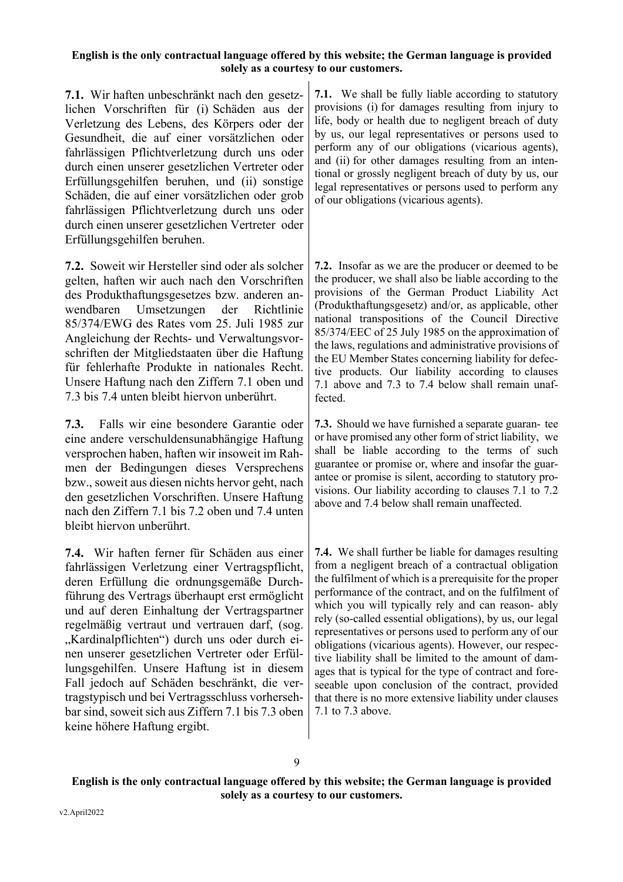**7.1.** Wir haften unbeschränkt nach den gesetzlichen Vorschriften für (i) Schäden aus der Verletzung des Lebens, des Körpers oder der Gesundheit, die auf einer vorsätzlichen oder fahrlässigen Pflichtverletzung durch uns oder durch einen unserer gesetzlichen Vertreter oder Erfüllungsgehilfen beruhen, und (ii) sonstige Schäden, die auf einer vorsätzlichen oder grob fahrlässigen Pflichtverletzung durch uns oder durch einen unserer gesetzlichen Vertreter oder Erfüllungsgehilfen beruhen.

**7.2.** Soweit wir Hersteller sind oder als solcher gelten, haften wir auch nach den Vorschriften des Produkthaftungsgesetzes bzw. anderen anwendbaren Umsetzungen der Richtlinie 85/374/EWG des Rates vom 25. Juli 1985 zur Angleichung der Rechts- und Verwaltungsvorschriften der Mitgliedstaaten über die Haftung für fehlerhafte Produkte in nationales Recht. Unsere Haftung nach den Ziffern 7.1 oben und 7.3 bis 7.4 unten bleibt hiervon unberührt.

**7.3.** Falls wir eine besondere Garantie oder eine andere verschuldensunabhängige Haftung versprochen haben, haften wir insoweit im Rahmen der Bedingungen dieses Versprechens bzw., soweit aus diesen nichts hervor geht, nach den gesetzlichen Vorschriften. Unsere Haftung nach den Ziffern 7.1 bis 7.2 oben und 7.4 unten bleibt hiervon unberührt.

**7.4.** Wir haften ferner für Schäden aus einer fahrlässigen Verletzung einer Vertragspflicht, deren Erfüllung die ordnungsgemäße Durchführung des Vertrags überhaupt erst ermöglicht und auf deren Einhaltung der Vertragspartner regelmäßig vertraut und vertrauen darf, (sog. "Kardinalpflichten") durch uns oder durch einen unserer gesetzlichen Vertreter oder Erfüllungsgehilfen. Unsere Haftung ist in diesem Fall jedoch auf Schäden beschränkt, die vertragstypisch und bei Vertragsschluss vorhersehbar sind, soweit sich aus Ziffern 7.1 bis 7.3 oben keine höhere Haftung ergibt.

**7.1.** We shall be fully liable according to statutory provisions (i) for damages resulting from injury to life, body or health due to negligent breach of duty by us, our legal representatives or persons used to perform any of our obligations (vicarious agents), and (ii) for other damages resulting from an intentional or grossly negligent breach of duty by us, our legal representatives or persons used to perform any of our obligations (vicarious agents).

**7.2.** Insofar as we are the producer or deemed to be the producer, we shall also be liable according to the provisions of the German Product Liability Act (Produkthaftungsgesetz) and/or, as applicable, other national transpositions of the Council Directive 85/374/EEC of 25 July 1985 on the approximation of the laws, regulations and administrative provisions of the EU Member States concerning liability for defective products. Our liability according to clauses 7.1 above and 7.3 to 7.4 below shall remain unaffected.

**7.3.** Should we have furnished a separate guaran- tee or have promised any other form of strict liability, we shall be liable according to the terms of such guarantee or promise or, where and insofar the guarantee or promise is silent, according to statutory provisions. Our liability according to clauses 7.1 to 7.2 above and 7.4 below shall remain unaffected.

**7.4.** We shall further be liable for damages resulting from a negligent breach of a contractual obligation the fulfilment of which is a prerequisite for the proper performance of the contract, and on the fulfilment of which you will typically rely and can reason- ably rely (so-called essential obligations), by us, our legal representatives or persons used to perform any of our obligations (vicarious agents). However, our respective liability shall be limited to the amount of damages that is typical for the type of contract and foreseeable upon conclusion of the contract, provided that there is no more extensive liability under clauses 7.1 to 7.3 above.

9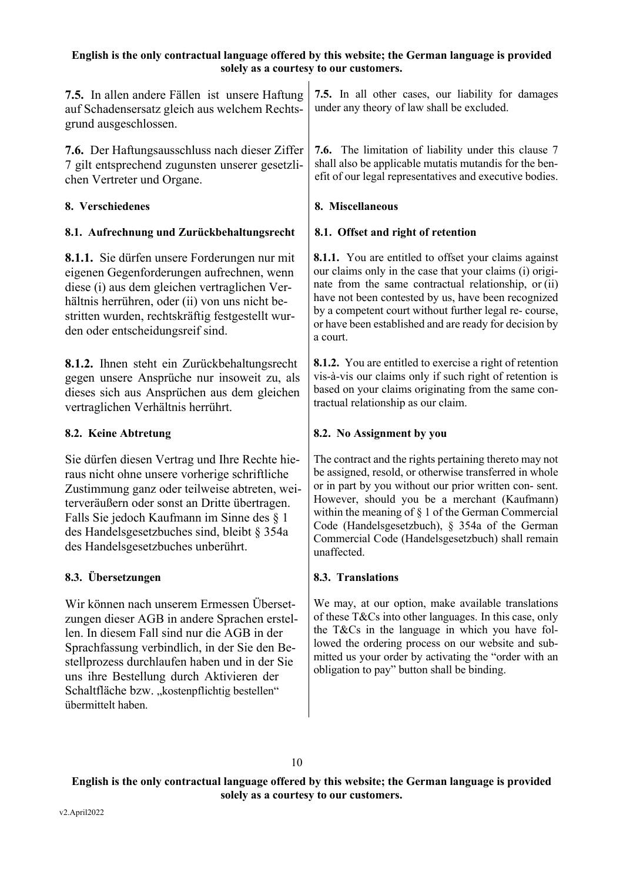**7.5.** In allen andere Fällen ist unsere Haftung auf Schadensersatz gleich aus welchem Rechtsgrund ausgeschlossen.

**7.6.** Der Haftungsausschluss nach dieser Ziffer 7 gilt entsprechend zugunsten unserer gesetzlichen Vertreter und Organe.

# **8. Verschiedenes 8. Miscellaneous**

# **8.1. Aufrechnung und Zurückbehaltungsrecht 8.1. Offset and right of retention**

**8.1.1.** Sie dürfen unsere Forderungen nur mit eigenen Gegenforderungen aufrechnen, wenn diese (i) aus dem gleichen vertraglichen Verhältnis herrühren, oder (ii) von uns nicht bestritten wurden, rechtskräftig festgestellt wurden oder entscheidungsreif sind.

**8.1.2.** Ihnen steht ein Zurückbehaltungsrecht gegen unsere Ansprüche nur insoweit zu, als dieses sich aus Ansprüchen aus dem gleichen vertraglichen Verhältnis herrührt.

Sie dürfen diesen Vertrag und Ihre Rechte hieraus nicht ohne unsere vorherige schriftliche Zustimmung ganz oder teilweise abtreten, weiterveräußern oder sonst an Dritte übertragen. Falls Sie jedoch Kaufmann im Sinne des § 1 des Handelsgesetzbuches sind, bleibt § 354a des Handelsgesetzbuches unberührt.

# **8.3. Übersetzungen 8.3. Translations**

Wir können nach unserem Ermessen Übersetzungen dieser AGB in andere Sprachen erstellen. In diesem Fall sind nur die AGB in der Sprachfassung verbindlich, in der Sie den Bestellprozess durchlaufen haben und in der Sie uns ihre Bestellung durch Aktivieren der Schaltfläche bzw. "kostenpflichtig bestellen" übermittelt haben.

**7.5.** In all other cases, our liability for damages under any theory of law shall be excluded.

**7.6.** The limitation of liability under this clause 7 shall also be applicable mutatis mutandis for the benefit of our legal representatives and executive bodies.

**8.1.1.** You are entitled to offset your claims against our claims only in the case that your claims (i) originate from the same contractual relationship, or (ii) have not been contested by us, have been recognized by a competent court without further legal re- course, or have been established and are ready for decision by a court.

**8.1.2.** You are entitled to exercise a right of retention vis-à-vis our claims only if such right of retention is based on your claims originating from the same contractual relationship as our claim.

# **8.2. Keine Abtretung 8.2. No Assignment by you**

The contract and the rights pertaining thereto may not be assigned, resold, or otherwise transferred in whole or in part by you without our prior written con- sent. However, should you be a merchant (Kaufmann) within the meaning of § 1 of the German Commercial Code (Handelsgesetzbuch), § 354a of the German Commercial Code (Handelsgesetzbuch) shall remain unaffected.

We may, at our option, make available translations of these T&Cs into other languages. In this case, only the T&Cs in the language in which you have followed the ordering process on our website and submitted us your order by activating the "order with an obligation to pay" button shall be binding.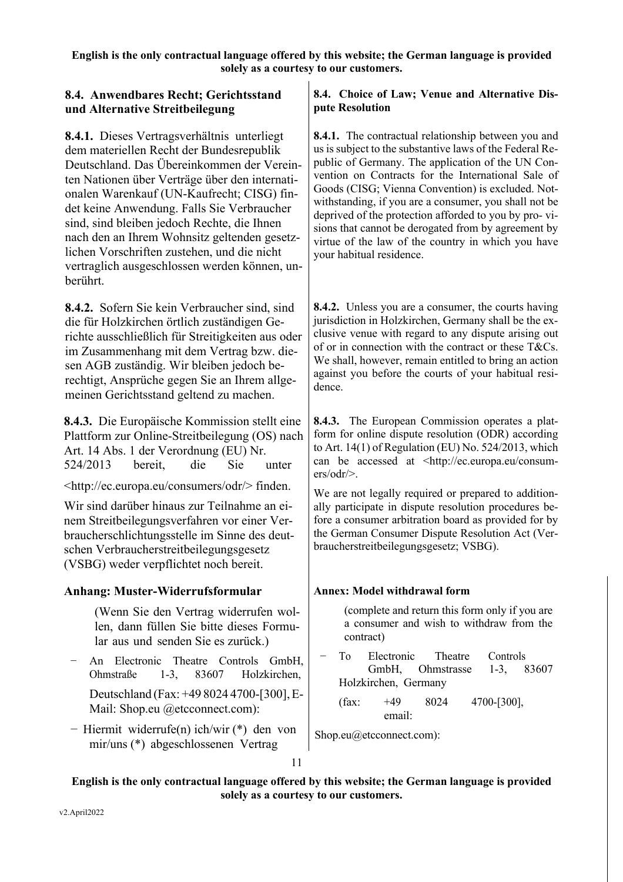# **8.4. Anwendbares Recht; Gerichtsstand und Alternative Streitbeilegung**

**8.4.1.** Dieses Vertragsverhältnis unterliegt dem materiellen Recht der Bundesrepublik Deutschland. Das Übereinkommen der Vereinten Nationen über Verträge über den internationalen Warenkauf (UN-Kaufrecht; CISG) findet keine Anwendung. Falls Sie Verbraucher sind, sind bleiben jedoch Rechte, die Ihnen nach den an Ihrem Wohnsitz geltenden gesetzlichen Vorschriften zustehen, und die nicht vertraglich ausgeschlossen werden können, unberührt.

**8.4.2.** Sofern Sie kein Verbraucher sind, sind die für Holzkirchen örtlich zuständigen Gerichte ausschließlich für Streitigkeiten aus oder im Zusammenhang mit dem Vertrag bzw. diesen AGB zuständig. Wir bleiben jedoch berechtigt, Ansprüche gegen Sie an Ihrem allgemeinen Gerichtsstand geltend zu machen.

**8.4.3.** Die Europäische Kommission stellt eine Plattform zur Online-Streitbeilegung (OS) nach Art. 14 Abs. 1 der Verordnung (EU) Nr. 524/2013 bereit, die Sie unter

<http://ec.europa.eu/consumers/odr/> finden.

Wir sind darüber hinaus zur Teilnahme an einem Streitbeilegungsverfahren vor einer Verbraucherschlichtungsstelle im Sinne des deutschen Verbraucherstreitbeilegungsgesetz (VSBG) weder verpflichtet noch bereit.

# **Anhang: Muster-Widerrufsformular**

- (Wenn Sie den Vertrag widerrufen wollen, dann füllen Sie bitte dieses Formular aus und senden Sie es zurück.)
- − An Electronic Theatre Controls GmbH, Ohmstraße 1-3, 83607 Holzkirchen,

Deutschland (Fax: +49 8024 4700-[300],E-Mail: Shop.eu @etcconnect.com):

− Hiermit widerrufe(n) ich/wir (\*) den von mir/uns (\*) abgeschlossenen Vertrag

# **8.4. Choice of Law; Venue and Alternative Dispute Resolution**

**8.4.1.** The contractual relationship between you and us is subject to the substantive laws of the Federal Republic of Germany. The application of the UN Convention on Contracts for the International Sale of Goods (CISG; Vienna Convention) is excluded. Notwithstanding, if you are a consumer, you shall not be deprived of the protection afforded to you by pro- visions that cannot be derogated from by agreement by virtue of the law of the country in which you have your habitual residence.

**8.4.2.** Unless you are a consumer, the courts having jurisdiction in Holzkirchen, Germany shall be the exclusive venue with regard to any dispute arising out of or in connection with the contract or these T&Cs. We shall, however, remain entitled to bring an action against you before the courts of your habitual residence.

**8.4.3.** The European Commission operates a platform for online dispute resolution (ODR) according to Art. 14(1) of Regulation (EU) No. 524/2013, which can be accessed at <http://ec.europa.eu/consumers/odr/>.

We are not legally required or prepared to additionally participate in dispute resolution procedures before a consumer arbitration board as provided for by the German Consumer Dispute Resolution Act (Verbraucherstreitbeilegungsgesetz; VSBG).

# **Annex: Model withdrawal form**

(complete and return this form only if you are a consumer and wish to withdraw from the contract)

− To Electronic Theatre Controls GmbH, Ohmstrasse 1-3, 83607 Holzkirchen, Germany

 $(fax: +49 \qquad 8024 \qquad 4700-[300],$ email:

Shop.eu@etcconnect.com):

11